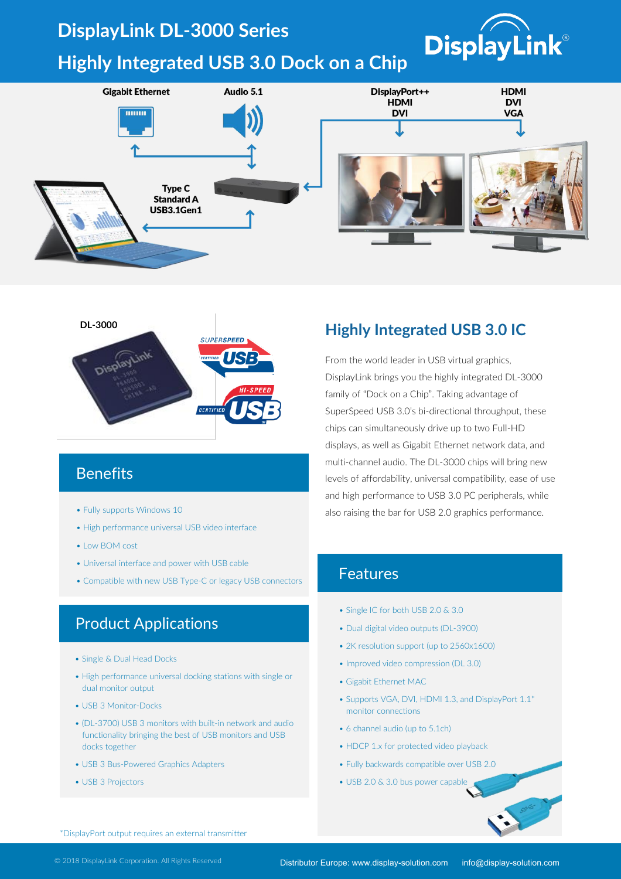## **DisplayLink DL-3000 Series**

# **Highly Integrated USB 3.0 Dock on a Chip**





### **Benefits**

- Fully supports Windows 10
- High performance universal USB video interface
- Low BOM cost
- Universal interface and power with USB cable
- Compatible with new USB Type-C or legacy USB connectors

#### Product Applications

- Single & Dual Head Docks
- High performance universal docking stations with single or dual monitor output
- USB 3 Monitor-Docks
- (DL-3700) USB 3 monitors with built-in network and audio functionality bringing the best of USB monitors and USB docks together
- USB 3 Bus-Powered Graphics Adapters
- USB 3 Projectors

#### **Highly Integrated USB 3.0 IC**

**DisplayLink®** 

From the world leader in USB virtual graphics, DisplayLink brings you the highly integrated DL-3000 family of "Dock on a Chip". Taking advantage of SuperSpeed USB 3.0's bi-directional throughput, these chips can simultaneously drive up to two Full-HD displays, as well as Gigabit Ethernet network data, and multi-channel audio. The DL-3000 chips will bring new levels of affordability, universal compatibility, ease of use and high performance to USB 3.0 PC peripherals, while also raising the bar for USB 2.0 graphics performance.

#### Features

- Single IC for both USB 2.0 & 3.0
- Dual digital video outputs (DL-3900)
- 2K resolution support (up to 2560x1600)
- Improved video compression (DL 3.0)
- Gigabit Ethernet MAC
- Supports VGA, DVI, HDMI 1.3, and DisplayPort 1.1\* monitor connections
- 6 channel audio (up to 5.1ch)
- HDCP 1.x for protected video playback
- Fully backwards compatible over USB 2.0
- USB 2.0 & 3.0 bus power capable

\*DisplayPort output requires an external transmitter